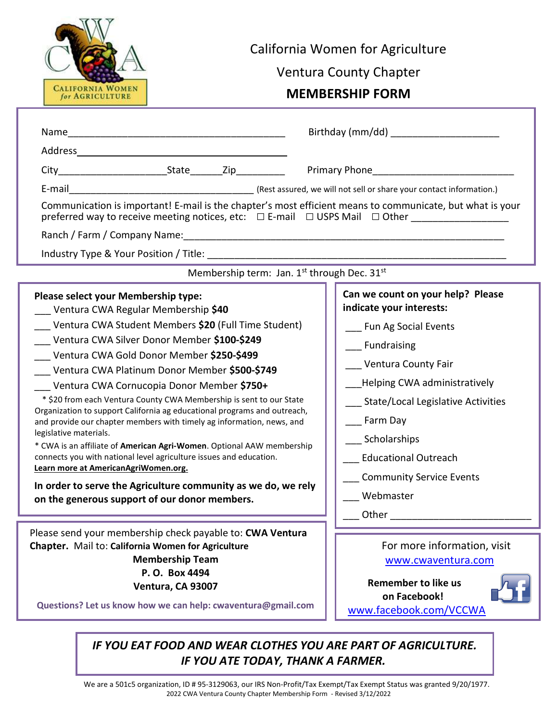

### California Women for Agriculture

### Ventura County Chapter

#### MEMBERSHIP FORM

| Communication is important! E-mail is the chapter's most efficient means to communicate, but what is your<br>preferred way to receive meeting notices, etc: $\Box$ E-mail $\Box$ USPS Mail $\Box$ Other                                                                                                                                                                                                                                                                                                                                                                                                                                                                                                                                                                                                        |                                                                                                                                                                                                                                                             |
|----------------------------------------------------------------------------------------------------------------------------------------------------------------------------------------------------------------------------------------------------------------------------------------------------------------------------------------------------------------------------------------------------------------------------------------------------------------------------------------------------------------------------------------------------------------------------------------------------------------------------------------------------------------------------------------------------------------------------------------------------------------------------------------------------------------|-------------------------------------------------------------------------------------------------------------------------------------------------------------------------------------------------------------------------------------------------------------|
|                                                                                                                                                                                                                                                                                                                                                                                                                                                                                                                                                                                                                                                                                                                                                                                                                |                                                                                                                                                                                                                                                             |
| Industry Type & Your Position / Title: Note that the state of the state of the state of the state of the state of the state of the state of the state of the state of the state of the state of the state of the state of the                                                                                                                                                                                                                                                                                                                                                                                                                                                                                                                                                                                  |                                                                                                                                                                                                                                                             |
| Membership term: Jan. 1st through Dec. 31st                                                                                                                                                                                                                                                                                                                                                                                                                                                                                                                                                                                                                                                                                                                                                                    |                                                                                                                                                                                                                                                             |
| Please select your Membership type:<br>Ventura CWA Regular Membership \$40                                                                                                                                                                                                                                                                                                                                                                                                                                                                                                                                                                                                                                                                                                                                     | Can we count on your help? Please<br>indicate your interests:                                                                                                                                                                                               |
| Ventura CWA Student Members \$20 (Full Time Student)<br>Ventura CWA Silver Donor Member \$100-\$249<br>Ventura CWA Gold Donor Member \$250-\$499<br>Ventura CWA Platinum Donor Member \$500-\$749<br>Ventura CWA Cornucopia Donor Member \$750+<br>* \$20 from each Ventura County CWA Membership is sent to our State<br>Organization to support California ag educational programs and outreach,<br>and provide our chapter members with timely ag information, news, and<br>legislative materials.<br>* CWA is an affiliate of American Agri-Women. Optional AAW membership<br>connects you with national level agriculture issues and education.<br>Learn more at AmericanAgriWomen.org.<br>In order to serve the Agriculture community as we do, we rely<br>on the generous support of our donor members. | __ Fun Ag Social Events<br><b>Fundraising</b><br>Ventura County Fair<br>Helping CWA administratively<br>__ State/Local Legislative Activities<br>Farm Day<br>__ Scholarships<br><b>Educational Outreach</b><br><b>Community Service Events</b><br>Webmaster |
| Please send your membership check payable to: CWA Ventura<br>Chapter. Mail to: California Women for Agriculture<br><b>Membership Team</b><br>P.O. Box 4494<br>Ventura, CA 93007<br>Questions? Let us know how we can help: cwaventura@gmail.com                                                                                                                                                                                                                                                                                                                                                                                                                                                                                                                                                                | For more information, visit<br>www.cwaventura.com<br><b>Remember to like us</b><br>on Facebook!<br>www.facebook.com/VCCWA                                                                                                                                   |

### IF YOU EAT FOOD AND WEAR CLOTHES YOU ARE PART OF AGRICULTURE. IF YOU ATE TODAY, THANK A FARMER.

We are a 501c5 organization, ID # 95-3129063, our IRS Non-Profit/Tax Exempt/Tax Exempt Status was granted 9/20/1977. 2022 CWA Ventura County Chapter Membership Form - Revised 3/12/2022